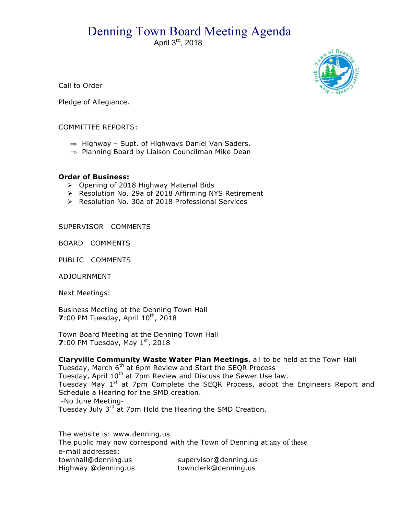## Denning Town Board Meeting Agenda

April 3rd, 2018



Call to Order

Pledge of Allegiance.

## COMMITTEE REPORTS:

- ⇒ Highway Supt. of Highways Daniel Van Saders.
- ⇒ Planning Board by Liaison Councilman Mike Dean

## **Order of Business:**

- $\triangleright$  Opening of 2018 Highway Material Bids
- > Resolution No. 29a of 2018 Affirming NYS Retirement
- ▶ Resolution No. 30a of 2018 Professional Services

SUPERVISOR COMMENTS

BOARD COMMENTS

PUBLIC COMMENTS

ADJOURNMENT

Next Meetings:

Business Meeting at the Denning Town Hall **7**:00 PM Tuesday, April 10<sup>th</sup>, 2018

Town Board Meeting at the Denning Town Hall **7**:00 PM Tuesday, May 1<sup>st</sup>, 2018

**Claryville Community Waste Water Plan Meetings**, all to be held at the Town Hall Tuesday, March 6th at 6pm Review and Start the SEQR Process Tuesday, April 10<sup>th</sup> at 7pm Review and Discuss the Sewer Use law. Tuesday May 1<sup>st</sup> at 7pm Complete the SEQR Process, adopt the Engineers Report and Schedule a Hearing for the SMD creation. -No June Meeting-Tuesday July 3<sup>rd</sup> at 7pm Hold the Hearing the SMD Creation.

The website is: www.denning.us The public may now correspond with the Town of Denning at any of these e-mail addresses: townhall@denning.us supervisor@denning.us Highway @denning.us townclerk@denning.us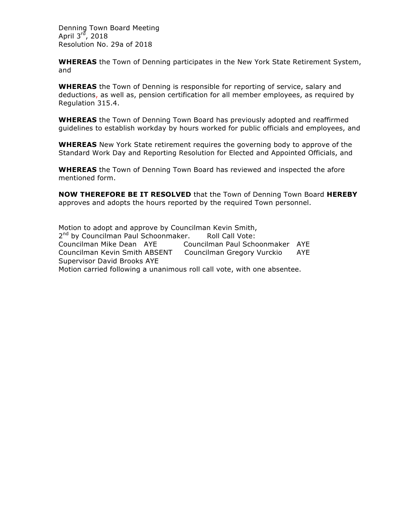Denning Town Board Meeting April  $3^{\overline{r}\overline{d}}$ , 2018 Resolution No. 29a of 2018

**WHEREAS** the Town of Denning participates in the New York State Retirement System, and

**WHEREAS** the Town of Denning is responsible for reporting of service, salary and deductions, as well as, pension certification for all member employees, as required by Regulation 315.4.

**WHEREAS** the Town of Denning Town Board has previously adopted and reaffirmed guidelines to establish workday by hours worked for public officials and employees, and

**WHEREAS** New York State retirement requires the governing body to approve of the Standard Work Day and Reporting Resolution for Elected and Appointed Officials, and

**WHEREAS** the Town of Denning Town Board has reviewed and inspected the afore mentioned form.

**NOW THEREFORE BE IT RESOLVED** that the Town of Denning Town Board **HEREBY**  approves and adopts the hours reported by the required Town personnel.

Motion to adopt and approve by Councilman Kevin Smith, 2<sup>nd</sup> by Councilman Paul Schoonmaker. Roll Call Vote: Councilman Mike Dean AYE Councilman Paul Schoonmaker AYE Councilman Kevin Smith ABSENT Councilman Gregory Vurckio AYE Supervisor David Brooks AYE Motion carried following a unanimous roll call vote, with one absentee.